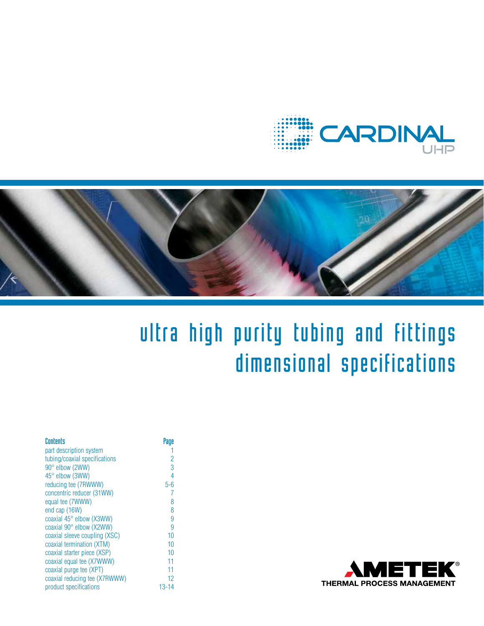



# ultra high purity tubing and fittings dimensional specifications

| Contents                      | Page           |
|-------------------------------|----------------|
| part description system       |                |
| tubing/coaxial specifications | $\overline{c}$ |
| 90° elbow (2WW)               | 3              |
| 45° elbow (3WW)               | 4              |
| reducing tee (7RWWW)          | $5 - 6$        |
| concentric reducer (31WW)     | 7              |
| equal tee (7WWW)              | 8              |
| end cap (16W)                 | 8              |
| coaxial 45° elbow (X3WW)      | 9              |
| coaxial 90° elbow (X2WW)      | 9              |
| coaxial sleeve coupling (XSC) | 10             |
| coaxial termination (XTM)     | 10             |
| coaxial starter piece (XSP)   | 10             |
| coaxial equal tee (X7WWW)     | 11             |
| coaxial purge tee (XPT)       | 11             |
| coaxial reducing tee (X7RWWW) | 12             |
| product specifications        | $13 - 14$      |

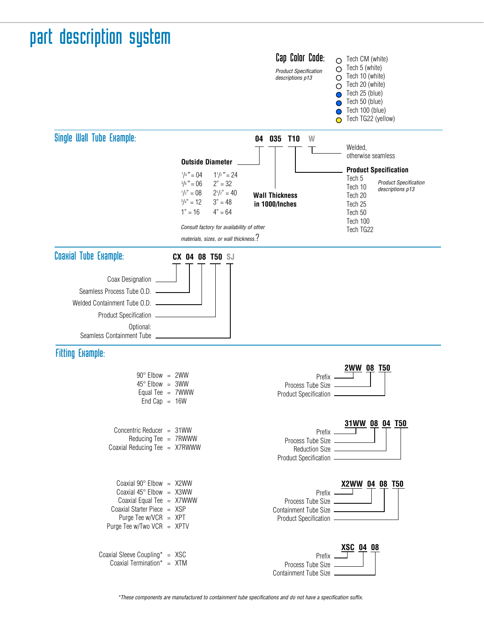# part description system



\*These components are manufactured to containment tube specifications and do not have a specification suffix.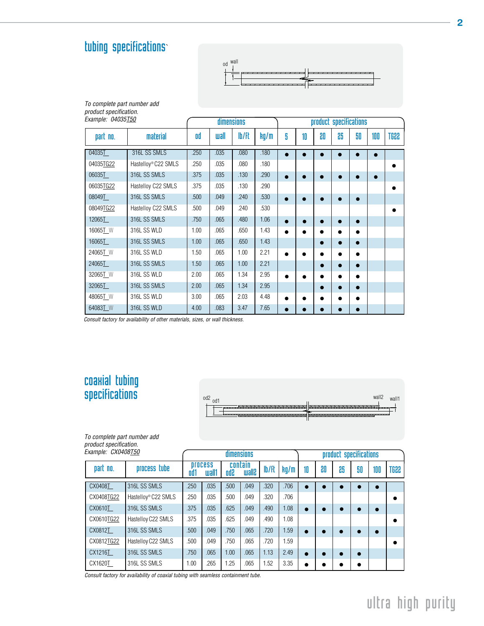### tubing specifications`

To complete part number add



| product specification.<br>Example: 04035T50 |                                 |      | dimensions |       |      |           |           |           | product specifications |    |     |             |
|---------------------------------------------|---------------------------------|------|------------|-------|------|-----------|-----------|-----------|------------------------|----|-----|-------------|
| part no.                                    | material                        | od   | uall       | lb/ft | kg/m | 5         | 10        | 80        | 86                     | 50 | 100 | <b>SS8T</b> |
| 04035T                                      | 316L SS SMLS                    | .250 | .035       | .080  | .180 |           |           |           |                        |    |     |             |
| 04035TG22                                   | Hastellov <sup>®</sup> C22 SMLS | .250 | .035       | .080  | .180 |           |           |           |                        |    |     |             |
| 06035T                                      | 316L SS SMLS                    | .375 | .035       | .130  | .290 | $\bullet$ | ٠         | $\bullet$ | ۰                      | ۰  | ٠   |             |
| 06035TG22                                   | Hastelloy C22 SMLS              | .375 | .035       | .130  | .290 |           |           |           |                        |    |     | ٠           |
| 08049T                                      | 316L SS SMLS                    | .500 | .049       | .240  | .530 | $\bullet$ | $\bullet$ |           | 0                      |    |     |             |
| 08049TG22                                   | Hastelloy C22 SMLS              | .500 | .049       | .240  | .530 |           |           |           |                        |    |     | 0           |
| 12065T                                      | 316L SS SMLS                    | .750 | .065       | .480  | 1.06 | $\bullet$ | $\bullet$ | $\bullet$ | 0                      |    |     |             |
| 16065T W                                    | 316L SS WLD                     | 1.00 | .065       | .650  | 1.43 | $\bullet$ | $\bullet$ |           |                        | ٠  |     |             |
| 16065T                                      | 316L SS SMLS                    | 1.00 | .065       | .650  | 1.43 |           |           | c         | ٠                      | ۰  |     |             |
| 24065T W                                    | 316L SS WLD                     | 1.50 | .065       | 1.00  | 2.21 | $\bullet$ | $\bullet$ |           | ٠                      | ●  |     |             |
| 24065T                                      | 316L SS SMLS                    | 1.50 | .065       | 1.00  | 2.21 |           |           |           | ۰                      | ●  |     |             |
| 32065T W                                    | 316L SS WLD                     | 2.00 | .065       | 1.34  | 2.95 | $\bullet$ |           |           | ٠                      |    |     |             |
| 32065T                                      | 316L SS SMLS                    | 2.00 | .065       | 1.34  | 2.95 |           |           |           |                        | 0  |     |             |
| 48065 <sup>T</sup> _W                       | 316L SS WLD                     | 3.00 | .065       | 2.03  | 4.48 | $\bullet$ |           |           | ٠                      |    |     |             |
| 64083TW                                     | 316L SS WLD                     | 4.00 | .083       | 3.47  | 7.65 | $\bullet$ | $\bullet$ |           |                        |    |     |             |

Consult factory for availability of other materials, sizes, or wall thickness.

#### coaxial tubing specifications



To complete part number add product specification.

| Example: CX0408T50 |                                 |      |                         | <b>dimensions</b> |                          |       |      |           |    | product specifications |    |     |             |
|--------------------|---------------------------------|------|-------------------------|-------------------|--------------------------|-------|------|-----------|----|------------------------|----|-----|-------------|
| part no.           | process tube                    | 0d1  | <b>process</b><br>wall1 | Sbo               | contain<br><b>Silisw</b> | lb/ft | kq/m | 10        | 80 | 85                     | 50 | 100 | <b>SS8T</b> |
| CX0408T            | 316L SS SMLS                    | .250 | .035                    | .500              | .049                     | .320  | .706 |           |    |                        |    |     |             |
| CX0408TG22         | Hastelloy <sup>®</sup> C22 SMLS | .250 | .035                    | .500              | .049                     | .320  | .706 |           |    |                        |    |     | $\bullet$   |
| CX0610T            | 316L SS SMLS                    | .375 | .035                    | .625              | .049                     | .490  | 1.08 |           |    |                        |    |     |             |
| CX0610TG22         | Hastellov C22 SMLS              | .375 | .035                    | .625              | .049                     | .490  | 1.08 |           |    |                        |    |     | ۰           |
| CX0812T            | 316L SS SMLS                    | .500 | .049                    | .750              | .065                     | .720  | 1.59 |           |    |                        |    |     |             |
| CX0812TG22         | Hastelloy C22 SMLS              | .500 | .049                    | .750              | .065                     | .720  | 1.59 |           |    |                        |    |     | ٠           |
| CX1216T            | 316L SS SMLS                    | .750 | .065                    | 1.00              | .065                     | 1.13  | 2.49 |           |    |                        | ●  |     |             |
| CX1620T            | 316L SS SMLS                    | 1.00 | .265                    | 1.25              | .065                     | 1.52  | 3.35 | $\bullet$ |    |                        |    |     |             |

Consult factory for availability of coaxial tubing with seamless containment tube.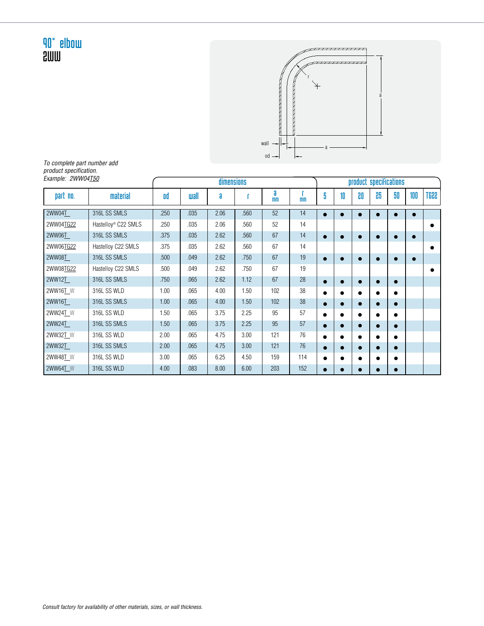

To complete part number add product specification. Example: 2WW04T50

| Example: 2WW04 <u>T50</u> |                                 |      |      | dimensions |      |                     |                |           |           |           | product specifications |    |           |             |
|---------------------------|---------------------------------|------|------|------------|------|---------------------|----------------|-----------|-----------|-----------|------------------------|----|-----------|-------------|
| part no.                  | material                        | od   | uall | a          |      | a<br>m <sub>m</sub> | m <sub>m</sub> | 5         | 10        | 80        | 86                     | 50 | 100       | <b>TG22</b> |
| 2WW04T                    | 316L SS SMLS                    | .250 | .035 | 2.06       | .560 | 52                  | 14             |           |           |           |                        |    | $\bullet$ |             |
| 2WW04TG22                 | Hastelloy <sup>®</sup> C22 SMLS | .250 | .035 | 2.06       | .560 | 52                  | 14             |           |           |           |                        |    |           |             |
| 2WW06T                    | 316L SS SMLS                    | .375 | .035 | 2.62       | .560 | 67                  | 14             |           |           | ٠         |                        |    | $\bullet$ |             |
| 2WW06TG22                 | Hastelloy C22 SMLS              | .375 | .035 | 2.62       | .560 | 67                  | 14             |           |           |           |                        |    |           |             |
| 2WW08T                    | 316L SS SMLS                    | .500 | .049 | 2.62       | .750 | 67                  | 19             |           |           | $\bullet$ |                        |    | $\bullet$ |             |
| 2WW08TG22                 | Hastelloy C22 SMLS              | .500 | .049 | 2.62       | .750 | 67                  | 19             |           |           |           |                        |    |           |             |
| 2WW12T                    | 316L SS SMLS                    | .750 | .065 | 2.62       | 1.12 | 67                  | 28             | 0         |           | $\bullet$ |                        |    |           |             |
| 2WW16T W                  | 316L SS WLD                     | 1.00 | .065 | 4.00       | 1.50 | 102                 | 38             | ●         |           |           |                        |    |           |             |
| 2WW16T                    | 316L SS SMLS                    | 1.00 | .065 | 4.00       | 1.50 | 102                 | 38             | $\bullet$ |           | $\bullet$ |                        |    |           |             |
| 2WW24T W                  | 316L SS WLD                     | 1.50 | .065 | 3.75       | 2.25 | 95                  | 57             | ●         |           |           |                        |    |           |             |
| 2WW24T                    | 316L SS SMLS                    | 1.50 | .065 | 3.75       | 2.25 | 95                  | 57             |           | ٠         | $\bullet$ |                        | ٠  |           |             |
| 2WW32T W                  | 316L SS WLD                     | 2.00 | .065 | 4.75       | 3.00 | 121                 | 76             |           |           | ٠         |                        | ٠  |           |             |
| 2WW32T                    | 316L SS SMLS                    | 2.00 | .065 | 4.75       | 3.00 | 121                 | 76             | $\bullet$ |           | $\bullet$ |                        |    |           |             |
| 2WW48T_W                  | 316L SS WLD                     | 3.00 | .065 | 6.25       | 4.50 | 159                 | 114            |           |           | ٠         |                        | ٠  |           |             |
| 2WW64TW                   | 316L SS WLD                     | 4.00 | .083 | 8.00       | 6.00 | 203                 | 152            |           | $\bullet$ | $\bullet$ |                        | ٠  |           |             |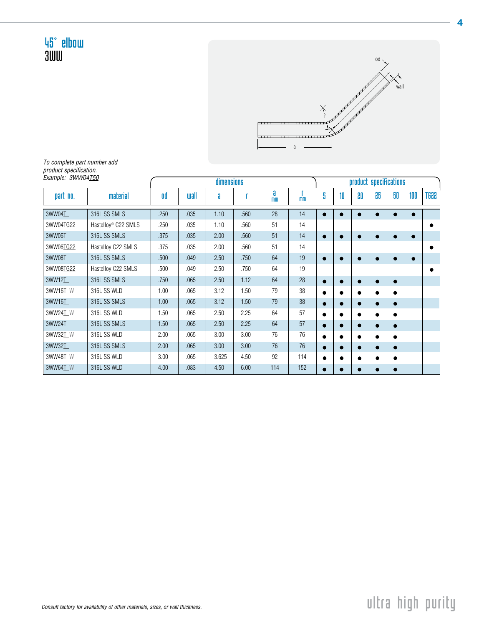

To complete part number add product specification. Example: 3WW04<u>T50</u>

| Example: 3WW04150 |                                 |      |             | dimensions |      |                     |                |   |           | product specifications |    |           |           |      |
|-------------------|---------------------------------|------|-------------|------------|------|---------------------|----------------|---|-----------|------------------------|----|-----------|-----------|------|
| part no.          | material                        | 0d   | <b>wall</b> | a          |      | a<br>m <sub>m</sub> | m <sub>m</sub> | 5 | 10        | 80                     | 85 | 50        | 100       | TG22 |
| 3WW04T            | 316L SS SMLS                    | .250 | .035        | 1.10       | .560 | 28                  | 14             |   |           |                        |    |           | $\bullet$ |      |
| 3WW04TG22         | Hastelloy <sup>®</sup> C22 SMLS | .250 | .035        | 1.10       | .560 | 51                  | 14             |   |           |                        |    |           |           |      |
| 3WW06T            | 316L SS SMLS                    | .375 | .035        | 2.00       | .560 | 51                  | 14             |   | ●         | $\bullet$              |    | $\bullet$ | $\bullet$ |      |
| 3WW06TG22         | Hastelloy C22 SMLS              | .375 | .035        | 2.00       | .560 | 51                  | 14             |   |           |                        |    |           |           |      |
| 3WW08T            | 316L SS SMLS                    | .500 | .049        | 2.50       | .750 | 64                  | 19             |   | ●         | $\bullet$              |    |           | $\bullet$ |      |
| 3WW08TG22         | Hastelloy C22 SMLS              | .500 | .049        | 2.50       | .750 | 64                  | 19             |   |           |                        |    |           |           |      |
| 3WW12T            | 316L SS SMLS                    | .750 | .065        | 2.50       | 1.12 | 64                  | 28             |   | ۰         | $\bullet$              |    |           |           |      |
| 3WW16T W          | 316L SS WLD                     | 1.00 | .065        | 3.12       | 1.50 | 79                  | 38             |   |           | $\bullet$              |    | ٠         |           |      |
| 3WW16T            | 316L SS SMLS                    | 1.00 | .065        | 3.12       | 1.50 | 79                  | 38             |   |           | $\bullet$              |    |           |           |      |
| 3WW24T W          | 316L SS WLD                     | 1.50 | .065        | 2.50       | 2.25 | 64                  | 57             |   |           | ٠                      |    |           |           |      |
| 3WW24T            | 316L SS SMLS                    | 1.50 | .065        | 2.50       | 2.25 | 64                  | 57             |   | 0         | $\bullet$              |    |           |           |      |
| 3WW32T W          | 316L SS WLD                     | 2.00 | .065        | 3.00       | 3.00 | 76                  | 76             |   | $\bullet$ | ٠                      |    | ٠         |           |      |
| 3WW32T            | 316L SS SMLS                    | 2.00 | .065        | 3.00       | 3.00 | 76                  | 76             |   |           | $\bullet$              |    | ٠         |           |      |
| 3WW48T W          | 316L SS WLD                     | 3.00 | .065        | 3.625      | 4.50 | 92                  | 114            |   |           | ٠                      |    | $\bullet$ |           |      |
| 3WW64T W          | 316L SS WLD                     | 4.00 | .083        | 4.50       | 6.00 | 114                 | 152            |   | $\bullet$ | $\bullet$              |    | $\bullet$ |           |      |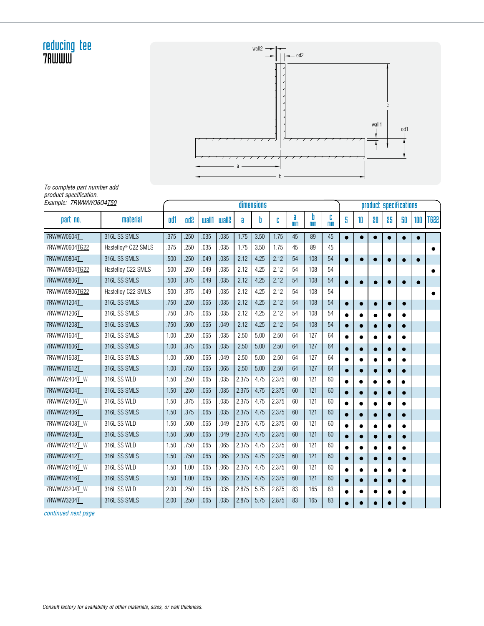#### reducing tee 7RWWW



To complete part number add product specification.

| Example: 7RWWW0604 <u>T50</u> |                                 |      |            |       |              |       | dimensions |       |                     |                     |                     |           |    | product specifications |           |           |           |             |
|-------------------------------|---------------------------------|------|------------|-------|--------------|-------|------------|-------|---------------------|---------------------|---------------------|-----------|----|------------------------|-----------|-----------|-----------|-------------|
| part no.                      | material                        | od1  | <b>Gbo</b> | wall1 | <b>wall?</b> | a     | b          | C     | a<br>m <sub>m</sub> | b<br>m <sub>n</sub> | c<br>m <sub>m</sub> | 5         | 10 | 80                     | 85        | 50        | 100       | <b>TG22</b> |
| 7RWWW0604T                    | 316L SS SMLS                    | .375 | .250       | .035  | .035         | 1.75  | 3.50       | 1.75  | 45                  | 89                  | 45                  | $\bullet$ |    | $\bullet$              |           |           |           |             |
| 7RWWW0604TG22                 | Hastelloy <sup>®</sup> C22 SMLS | .375 | .250       | .035  | .035         | 1.75  | 3.50       | 1.75  | 45                  | 89                  | 45                  |           |    |                        |           |           |           |             |
| 7RWWW0804T                    | 316L SS SMLS                    | .500 | .250       | .049  | .035         | 2.12  | 4.25       | 2.12  | 54                  | 108                 | 54                  | $\bullet$ |    | $\bullet$              | $\bullet$ |           | $\bullet$ |             |
| 7RWWW0804TG22                 | Hastelloy C22 SMLS              | .500 | .250       | .049  | .035         | 2.12  | 4.25       | 2.12  | 54                  | 108                 | 54                  |           |    |                        |           |           |           |             |
| 7RWWW0806T                    | 316L SS SMLS                    | .500 | .375       | .049  | .035         | 2.12  | 4.25       | 2.12  | 54                  | 108                 | 54                  | $\bullet$ |    | $\bullet$              |           |           | $\bullet$ |             |
| 7RWWW0806TG22                 | Hastelloy C22 SMLS              | .500 | .375       | .049  | .035         | 2.12  | 4.25       | 2.12  | 54                  | 108                 | 54                  |           |    |                        |           |           |           |             |
| 7RWWW1204T                    | 316L SS SMLS                    | .750 | .250       | .065  | .035         | 2.12  | 4.25       | 2.12  | 54                  | 108                 | 54                  | $\bullet$ |    | $\bullet$              |           |           |           |             |
| 7RWWW1206T                    | 316L SS SMLS                    | .750 | .375       | .065  | .035         | 2.12  | 4.25       | 2.12  | 54                  | 108                 | 54                  | $\bullet$ |    | $\bullet$              |           |           |           |             |
| 7RWWW1208T                    | 316L SS SMLS                    | .750 | .500       | .065  | .049         | 2.12  | 4.25       | 2.12  | 54                  | 108                 | 54                  | $\bullet$ |    | $\bullet$              |           | $\bullet$ |           |             |
| 7RWWW1604T                    | 316L SS SMLS                    | 1.00 | .250       | .065  | .035         | 2.50  | 5.00       | 2.50  | 64                  | 127                 | 64                  |           |    | ●                      |           |           |           |             |
| 7RWWW1606T                    | 316L SS SMLS                    | 1.00 | .375       | .065  | .035         | 2.50  | 5.00       | 2.50  | 64                  | 127                 | 64                  | $\bullet$ |    | $\bullet$              |           |           |           |             |
| 7RWWW1608T                    | 316L SS SMLS                    | 1.00 | .500       | .065  | .049         | 2.50  | 5.00       | 2.50  | 64                  | 127                 | 64                  | $\bullet$ |    | $\bullet$              |           |           |           |             |
| 7RWWW1612T                    | 316L SS SMLS                    | 1.00 | .750       | .065  | .065         | 2.50  | 5.00       | 2.50  | 64                  | 127                 | 64                  |           |    | 0                      |           |           |           |             |
| 7RWWW2404T_W                  | 316L SS WLD                     | 1.50 | .250       | .065  | .035         | 2.375 | 4.75       | 2.375 | 60                  | 121                 | 60                  | $\bullet$ |    |                        |           |           |           |             |
| 7RWWW2404T                    | 316L SS SMLS                    | 1.50 | .250       | .065  | .035         | 2.375 | 4.75       | 2.375 | 60                  | 121                 | 60                  | $\bullet$ |    | $\bullet$              |           |           |           |             |
| 7RWWW2406T W                  | 316L SS WLD                     | 1.50 | .375       | .065  | .035         | 2.375 | 4.75       | 2.375 | 60                  | 121                 | 60                  |           |    |                        |           |           |           |             |
| 7RWWW2406T                    | 316L SS SMLS                    | 1.50 | .375       | .065  | .035         | 2.375 | 4.75       | 2.375 | 60                  | 121                 | 60                  | $\bullet$ |    | $\bullet$              | $\bullet$ |           |           |             |
| 7RWWW2408T W                  | 316L SS WLD                     | 1.50 | .500       | .065  | .049         | 2.375 | 4.75       | 2.375 | 60                  | 121                 | 60                  | $\bullet$ |    | $\bullet$              |           |           |           |             |
| 7RWWW2408T                    | 316L SS SMLS                    | 1.50 | .500       | .065  | .049         | 2.375 | 4.75       | 2.375 | 60                  | 121                 | 60                  |           |    |                        |           |           |           |             |
| 7RWWW2412T W                  | 316L SS WLD                     | 1.50 | .750       | .065  | .065         | 2.375 | 4.75       | 2.375 | 60                  | 121                 | 60                  |           |    | $\bullet$              |           |           |           |             |
| 7RWWW2412T                    | 316L SS SMLS                    | 1.50 | .750       | .065  | .065         | 2.375 | 4.75       | 2.375 | 60                  | 121                 | 60                  | $\bullet$ |    | $\bullet$              | $\bullet$ |           |           |             |
| 7RWWW2416T W                  | 316L SS WLD                     | 1.50 | 1.00       | .065  | .065         | 2.375 | 4.75       | 2.375 | 60                  | 121                 | 60                  |           |    |                        |           |           |           |             |
| 7RWWW2416T                    | 316L SS SMLS                    | 1.50 | 1.00       | .065  | .065         | 2.375 | 4.75       | 2.375 | 60                  | 121                 | 60                  | $\bullet$ |    | $\bullet$              |           |           |           |             |
| 7RWWW3204T W                  | 316L SS WLD                     | 2.00 | .250       | .065  | .035         | 2.875 | 5.75       | 2.875 | 83                  | 165                 | 83                  |           |    | $\bullet$              |           |           |           |             |
| 7RWWW3204T                    | 316L SS SMLS                    | 2.00 | .250       | .065  | .035         | 2.875 | 5.75       | 2.875 | 83                  | 165                 | 83                  |           |    |                        |           |           |           |             |

continued next page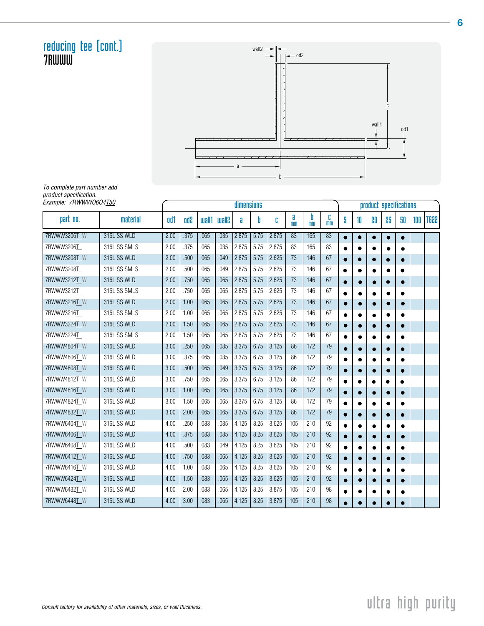reducing tee (cont.) wall1  $1<sup>1</sup>$ a  $-$  od2 wall2 c

b

To complete part number add product specification.

7RWWW

| Example: 7RWWW0604T50 |              |      |            |       |              | <b>dimensions</b> |      |       |                     |                     |                     |           |           | product specifications |           |           |     |      |
|-----------------------|--------------|------|------------|-------|--------------|-------------------|------|-------|---------------------|---------------------|---------------------|-----------|-----------|------------------------|-----------|-----------|-----|------|
| part no.              | material     | od1  | <b>Od2</b> | wall1 | <b>Slisw</b> | a                 | b    | c     | a<br>m <sub>m</sub> | b<br>m <sub>m</sub> | c<br>m <sub>m</sub> | 5         | 10        | 80                     | 85        | 50        | 100 | TG22 |
| 7RWWW3206T W          | 316L SS WLD  | 2.00 | .375       | .065  | .035         | 2.875             | 5.75 | 2.875 | 83                  | 165                 | 83                  |           |           |                        | 0         | $\bullet$ |     |      |
| 7RWWW3206T            | 316L SS SMLS | 2.00 | .375       | .065  | .035         | 2.875             | 5.75 | 2.875 | 83                  | 165                 | 83                  | $\bullet$ | ٠         |                        |           | ٠         |     |      |
| 7RWWW3208T W          | 316L SS WLD  | 2.00 | .500       | .065  | .049         | 2.875             | 5.75 | 2.625 | 73                  | 146                 | 67                  | $\bullet$ | $\bullet$ | $\bullet$              |           | $\bullet$ |     |      |
| 7RWWW3208T            | 316L SS SMLS | 2.00 | .500       | .065  | .049         | 2.875             | 5.75 | 2.625 | 73                  | 146                 | 67                  | $\bullet$ |           |                        |           | $\bullet$ |     |      |
| 7RWWW3212T W          | 316L SS WLD  | 2.00 | .750       | .065  | .065         | 2.875             | 5.75 | 2.625 | 73                  | 146                 | 67                  | $\bullet$ |           |                        |           |           |     |      |
| 7RWWW3212T            | 316L SS SMLS | 2.00 | .750       | .065  | .065         | 2.875             | 5.75 | 2.625 | 73                  | 146                 | 67                  |           |           |                        |           |           |     |      |
| 7RWWW3216T W          | 316L SS WLD  | 2.00 | 1.00       | .065  | .065         | 2.875             | 5.75 | 2.625 | 73                  | 146                 | 67                  |           |           |                        |           |           |     |      |
| 7RWWW3216T            | 316L SS SMLS | 2.00 | 1.00       | .065  | .065         | 2.875             | 5.75 | 2.625 | 73                  | 146                 | 67                  | $\bullet$ | ٠         | ٠                      | $\bullet$ |           |     |      |
| 7RWWW3224T_W          | 316L SS WLD  | 2.00 | 1.50       | .065  | .065         | 2.875             | 5.75 | 2.625 | 73                  | 146                 | 67                  | $\bullet$ | ٠         | $\bullet$              | $\bullet$ | $\bullet$ |     |      |
| 7RWWW3224T            | 316L SS SMLS | 2.00 | 1.50       | .065  | .065         | 2.875             | 5.75 | 2.625 | 73                  | 146                 | 67                  | $\bullet$ |           |                        |           |           |     |      |
| 7RWWW4804T W          | 316L SS WLD  | 3.00 | .250       | .065  | .035         | 3.375             | 6.75 | 3.125 | 86                  | 172                 | 79                  | $\bullet$ |           |                        |           | $\bullet$ |     |      |
| 7RWWW4806T_W          | 316L SS WLD  | 3.00 | .375       | .065  | .035         | 3.375             | 6.75 | 3.125 | 86                  | 172                 | 79                  | $\bullet$ |           |                        |           | ٠         |     |      |
| 7RWWW4808T W          | 316L SS WLD  | 3.00 | .500       | .065  | .049         | 3.375             | 6.75 | 3.125 | 86                  | 172                 | 79                  | $\bullet$ |           |                        |           |           |     |      |
| 7RWWW4812T W          | 316L SS WLD  | 3.00 | .750       | .065  | .065         | 3.375             | 6.75 | 3.125 | 86                  | 172                 | 79                  | $\bullet$ | ٠         |                        |           |           |     |      |
| 7RWWW4816T W          | 316L SS WLD  | 3.00 | 1.00       | .065  | .065         | 3.375             | 6.75 | 3.125 | 86                  | 172                 | 79                  |           | $\bullet$ | $\bullet$              |           | $\bullet$ |     |      |
| 7RWWW4824T W          | 316L SS WLD  | 3.00 | 1.50       | .065  | .065         | 3.375             | 6.75 | 3.125 | 86                  | 172                 | 79                  |           |           |                        |           |           |     |      |
| 7RWWW4832T W          | 316L SS WLD  | 3.00 | 2.00       | .065  | .065         | 3.375             | 6.75 | 3.125 | 86                  | 172                 | 79                  | $\bullet$ |           |                        |           | $\bullet$ |     |      |
| 7RWWW6404T_W          | 316L SS WLD  | 4.00 | .250       | .083  | .035         | 4.125             | 8.25 | 3.625 | 105                 | 210                 | 92                  | $\bullet$ |           |                        |           |           |     |      |
| 7RWWW6406T W          | 316L SS WLD  | 4.00 | .375       | .083  | .035         | 4.125             | 8.25 | 3.625 | 105                 | 210                 | 92                  |           |           |                        |           |           |     |      |
| 7RWWW6408T W          | 316L SS WLD  | 4.00 | .500       | .083  | .049         | 4.125             | 8.25 | 3.625 | 105                 | 210                 | 92                  | $\bullet$ |           |                        |           |           |     |      |
| 7RWWW6412T W          | 316L SS WLD  | 4.00 | .750       | .083  | .065         | 4.125             | 8.25 | 3.625 | 105                 | 210                 | 92                  | $\bullet$ | $\bullet$ | $\bullet$              | $\bullet$ | $\bullet$ |     |      |
| 7RWWW6416T W          | 316L SS WLD  | 4.00 | 1.00       | .083  | .065         | 4.125             | 8.25 | 3.625 | 105                 | 210                 | 92                  |           |           |                        |           |           |     |      |
| 7RWWW6424T W          | 316L SS WLD  | 4.00 | 1.50       | .083  | .065         | 4.125             | 8.25 | 3.625 | 105                 | 210                 | 92                  | $\bullet$ |           |                        | $\bullet$ | О         |     |      |
| 7RWWW6432T W          | 316L SS WLD  | 4.00 | 2.00       | .083  | .065         | 4.125             | 8.25 | 3.875 | 105                 | 210                 | 98                  |           |           |                        |           | ٠         |     |      |
| 7RWWW6448T W          | 316L SS WLD  | 4.00 | 3.00       | .083  | .065         | 4.125             | 8.25 | 3.875 | 105                 | 210                 | 98                  |           |           |                        |           |           |     |      |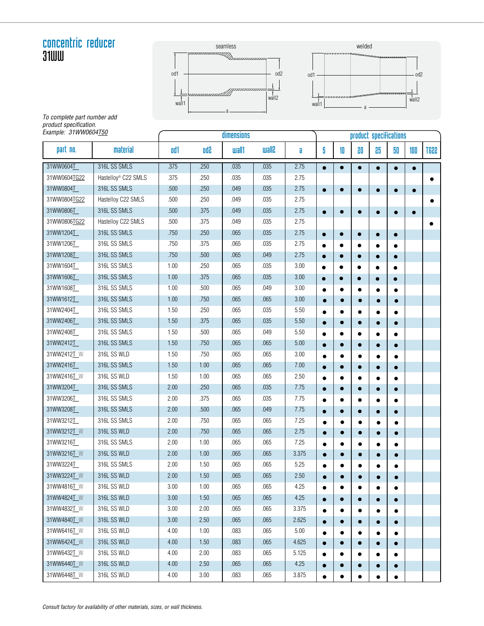#### concentric reducer 31WW





To complete part number add product specification. Example: 31WW0604<u>T50</u>

| Example: 31WW0604 <u>T50</u> |                     |      |            | dimensions   |               |          |           |           |           | product specifications |           |           |           |
|------------------------------|---------------------|------|------------|--------------|---------------|----------|-----------|-----------|-----------|------------------------|-----------|-----------|-----------|
| part no.                     | material            | od1  | <b>Gbo</b> | <b>wall1</b> | <b>Silism</b> | a        | 5         | 10        | 80        | 85                     | 50        | 100       | TG22      |
| 31WW0604L                    | 316L SS SMLS        | .375 | .250       | .035         | .035          | 2.75     | $\bullet$ | $\bullet$ | $\bullet$ | $\bullet$              | $\bullet$ |           |           |
| 31WW0604TG22                 | Hastelloy® C22 SMLS | .375 | .250       | .035         | .035          | 2.75     |           |           |           |                        |           |           |           |
| 31WW0804T                    | 316L SS SMLS        | .500 | .250       | .049         | .035          | 2.75     | $\bullet$ | $\bullet$ | $\bullet$ | $\bullet$              | $\bullet$ | $\bullet$ |           |
| 31WW0804TG22                 | Hastelloy C22 SMLS  | .500 | .250       | .049         | .035          | 2.75     |           |           |           |                        |           |           | $\bullet$ |
| 31WW0806T                    | 316L SS SMLS        | .500 | .375       | .049         | .035          | 2.75     |           | $\bullet$ | $\bullet$ |                        | $\bullet$ |           |           |
| 31WW0806TG22                 | Hastelloy C22 SMLS  | .500 | .375       | .049         | .035          | 2.75     |           |           |           |                        |           |           | $\bullet$ |
| 31WW1204T                    | 316L SS SMLS        | .750 | .250       | .065         | .035          | 2.75     | $\bullet$ | $\bullet$ | $\bullet$ | $\bullet$              | $\bullet$ |           |           |
| 31WW1206T                    | 316L SS SMLS        | .750 | .375       | .065         | .035          | 2.75     |           | $\bullet$ | $\bullet$ |                        | $\bullet$ |           |           |
| 31WW1208T                    | 316L SS SMLS        | .750 | .500       | .065         | .049          | 2.75     |           | $\bullet$ | $\bullet$ |                        | $\bullet$ |           |           |
| 31WW1604T                    | 316L SS SMLS        | 1.00 | .250       | .065         | .035          | 3.00     |           | $\bullet$ | $\bullet$ |                        | $\bullet$ |           |           |
| 31WW1606T                    | 316L SS SMLS        | 1.00 | .375       | .065         | .035          | 3.00     |           | $\bullet$ | $\bullet$ |                        | $\bullet$ |           |           |
| 31WW1608T                    | 316L SS SMLS        | 1.00 | .500       | .065         | .049          | 3.00     |           |           | $\bullet$ |                        | ٠         |           |           |
| 31WW1612T                    | 316L SS SMLS        | 1.00 | .750       | .065         | .065          | 3.00     | $\bullet$ | $\bullet$ | $\bullet$ | $\bullet$              | $\bullet$ |           |           |
| 31WW2404T                    | 316L SS SMLS        | 1.50 | .250       | .065         | .035          | 5.50     |           | $\bullet$ | $\bullet$ |                        | $\bullet$ |           |           |
| 31WW2406T                    | 316L SS SMLS        | 1.50 | .375       | .065         | .035          | 5.50     |           | $\bullet$ | $\bullet$ | $\bullet$              | $\bullet$ |           |           |
| 31WW2408T                    | 316L SS SMLS        | 1.50 | .500       | .065         | .049          | 5.50     |           | $\bullet$ | $\bullet$ |                        | $\bullet$ |           |           |
| 31WW2412T                    | 316L SS SMLS        | 1.50 | .750       | .065         | .065          | 5.00     |           | $\bullet$ | $\bullet$ | ۰                      | $\bullet$ |           |           |
| 31WW2412T_W                  | 316L SS WLD         | 1.50 | .750       | .065         | .065          | 3.00     |           |           | $\bullet$ | ٠                      | $\bullet$ |           |           |
| 31WW2416T                    | 316L SS SMLS        | 1.50 | 1.00       | .065         | .065          | $7.00\,$ | $\bullet$ | $\bullet$ | $\bullet$ | $\bullet$              | $\bullet$ |           |           |
| 31WW2416T_W                  | 316L SS WLD         | 1.50 | 1.00       | .065         | .065          | $2.50\,$ |           | $\bullet$ | $\bullet$ |                        | ٠         |           |           |
| 31WW3204T                    | 316L SS SMLS        | 2.00 | .250       | .065         | .035          | 7.75     | $\bullet$ | $\bullet$ | $\bullet$ | $\bullet$              | $\bullet$ |           |           |
| 31WW3206T                    | 316L SS SMLS        | 2.00 | .375       | .065         | .035          | 7.75     | $\bullet$ | $\bullet$ | $\bullet$ |                        | $\bullet$ |           |           |
| 31WW3208T                    | 316L SS SMLS        | 2.00 | .500       | .065         | .049          | 7.75     |           | $\bullet$ | $\bullet$ |                        |           |           |           |
| 31WW3212T                    | 316L SS SMLS        | 2.00 | .750       | .065         | .065          | 7.25     |           |           | $\bullet$ |                        | $\bullet$ |           |           |
| 31WW3212TW                   | 316L SS WLD         | 2.00 | .750       | .065         | .065          | 2.75     | $\bullet$ | $\bullet$ | $\bullet$ | $\bullet$              | $\bullet$ |           |           |
| 31WW3216T                    | 316L SS SMLS        | 2.00 | 1.00       | .065         | .065          | 7.25     |           |           |           |                        | ٠         |           |           |
| 31WW3216T W                  | 316L SS WLD         | 2.00 | 1.00       | .065         | .065          | 3.375    | $\bullet$ | $\bullet$ | ۰         | $\bullet$              | $\bullet$ |           |           |
| 31WW3224T                    | 316L SS SMLS        | 2.00 | 1.50       | .065         | .065          | 5.25     |           | ٠         | $\bullet$ |                        |           |           |           |
| 31WW3224TW                   | 316L SS WLD         | 2.00 | 1.50       | .065         | .065          | 2.50     |           | $\bullet$ |           |                        | $\bullet$ |           |           |
| 31WW4816TW                   | 316L SS WLD         | 3.00 | 1.00       | .065         | .065          | 4.25     |           |           |           |                        |           |           |           |
| 31WW4824T_W                  | 316L SS WLD         | 3.00 | 1.50       | .065         | .065          | 4.25     |           | $\bullet$ | $\bullet$ |                        | $\bullet$ |           |           |
| 31WW4832T_W                  | 316L SS WLD         | 3.00 | 2.00       | .065         | .065          | 3.375    |           |           |           |                        | $\bullet$ |           |           |
| 31WW4840TW                   | 316L SS WLD         | 3.00 | 2.50       | .065         | .065          | 2.625    | $\bullet$ | $\bullet$ | $\bullet$ | $\bullet$              | $\bullet$ |           |           |
| 31WW6416TW                   | 316L SS WLD         | 4.00 | 1.00       | .083         | .065          | 5.00     |           |           |           |                        | $\bullet$ |           |           |
| 31WW6424T_W                  | 316L SS WLD         | 4.00 | 1.50       | .083         | .065          | 4.625    |           | $\bullet$ | $\bullet$ |                        |           |           |           |
| 31WW6432T_W                  | 316L SS WLD         | 4.00 | 2.00       | .083         | .065          | 5.125    |           |           |           |                        | ٠         |           |           |
| 31WW6440TW                   | 316L SS WLD         | 4.00 | 2.50       | .065         | .065          | 4.25     | $\bullet$ | $\bullet$ | 0         | $\bullet$              | $\bullet$ |           |           |
| 31WW6448TW                   | 316L SS WLD         | 4.00 | $3.00\,$   | .083         | .065          | 3.875    |           | $\bullet$ |           |                        |           |           |           |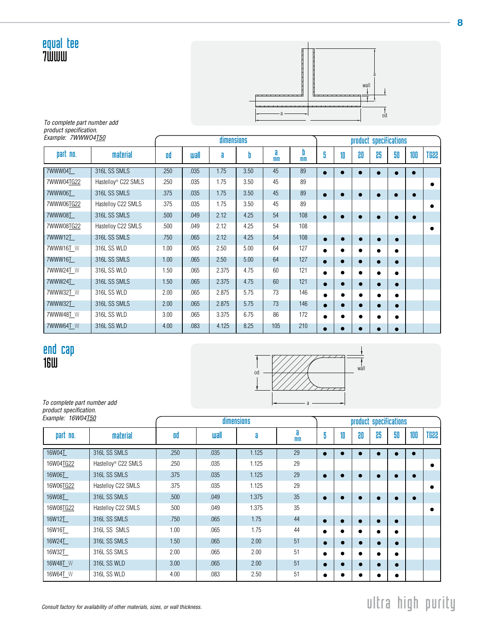#### equal tee 7WWW



To complete part number add product specification. Example: 7WWWO4T50

| Example: 7WWW04T50 |                                 |      |             | dimensions |      |                     |                     |           |           | product specifications |    |           |     |             |
|--------------------|---------------------------------|------|-------------|------------|------|---------------------|---------------------|-----------|-----------|------------------------|----|-----------|-----|-------------|
| part no.           | material                        | od   | <b>wall</b> | a          | b    | a<br>m <sub>m</sub> | b<br>m <sub>m</sub> | 5         | 10        | 80                     | 86 | 50        | 100 | <b>TG22</b> |
| 7WWW04T            | 316L SS SMLS                    | .250 | .035        | 1.75       | 3.50 | 45                  | 89                  | $\bullet$ |           |                        |    | $\bullet$ |     |             |
| 7WWW04TG22         | Hastelloy <sup>®</sup> C22 SMLS | .250 | .035        | 1.75       | 3.50 | 45                  | 89                  |           |           |                        |    |           |     |             |
| 7WWW06T            | 316L SS SMLS                    | .375 | .035        | 1.75       | 3.50 | 45                  | 89                  | $\bullet$ |           |                        |    | $\bullet$ |     |             |
| 7WWW06TG22         | Hastelloy C22 SMLS              | .375 | .035        | 1.75       | 3.50 | 45                  | 89                  |           |           |                        |    |           |     |             |
| 7WWW08T            | 316L SS SMLS                    | .500 | .049        | 2.12       | 4.25 | 54                  | 108                 | $\bullet$ |           | c                      |    | $\bullet$ |     |             |
| 7WWW08TG22         | Hastelloy C22 SMLS              | .500 | .049        | 2.12       | 4.25 | 54                  | 108                 |           |           |                        |    |           |     |             |
| 7WWW12T            | 316L SS SMLS                    | .750 | .065        | 2.12       | 4.25 | 54                  | 108                 | $\bullet$ | $\bullet$ |                        |    | $\bullet$ |     |             |
| 7WWW16T W          | 316L SS WLD                     | 1.00 | .065        | 2.50       | 5.00 | 64                  | 127                 |           |           |                        |    | $\bullet$ |     |             |
| 7WWW16T            | 316L SS SMLS                    | 1.00 | .065        | 2.50       | 5.00 | 64                  | 127                 |           |           |                        |    | $\bullet$ |     |             |
| 7WWW24T W          | 316L SS WLD                     | 1.50 | .065        | 2.375      | 4.75 | 60                  | 121                 | ٠         |           |                        |    | $\bullet$ |     |             |
| 7WWW24T            | 316L SS SMLS                    | 1.50 | .065        | 2.375      | 4.75 | 60                  | 121                 |           | $\bullet$ |                        |    | $\bullet$ |     |             |
| 7WWW32T_W          | 316L SS WLD                     | 2.00 | .065        | 2.875      | 5.75 | 73                  | 146                 |           |           |                        |    | $\bullet$ |     |             |
| 7WWW32T            | 316L SS SMLS                    | 2.00 | .065        | 2.875      | 5.75 | 73                  | 146                 | $\bullet$ | $\bullet$ |                        |    | $\bullet$ |     |             |
| 7WWW48T W          | 316L SS WLD                     | 3.00 | .065        | 3.375      | 6.75 | 86                  | 172                 |           |           |                        |    | $\bullet$ |     |             |
| 7WWW64T W          | 316L SS WLD                     | 4.00 | .083        | 4.125      | 8.25 | 105                 | 210                 | $\bullet$ |           |                        |    | $\bullet$ |     |             |

#### end cap 16W



To complete part number add product specification. Example: 16W04<u>T50</u>

| Example: 16W04T50 |                                 |      |      | dimensions |                     |           |           |           |    | product specifications |     |             |
|-------------------|---------------------------------|------|------|------------|---------------------|-----------|-----------|-----------|----|------------------------|-----|-------------|
| part no.          | material                        | od   | uall | a          | a<br>m <sub>m</sub> | 5         | 10        | 80        | 86 | 50                     | 100 | <b>SS9T</b> |
| 16W04T            | 316L SS SMLS                    | .250 | .035 | 1.125      | 29                  | $\bullet$ |           |           |    |                        |     |             |
| 16W04TG22         | Hastellov <sup>®</sup> C22 SMLS | .250 | .035 | 1.125      | 29                  |           |           |           |    |                        |     |             |
| 16W06T            | 316L SS SMLS                    | .375 | .035 | 1.125      | 29                  |           |           | $\bullet$ |    | $\bullet$              | ×   |             |
| 16W06TG22         | Hastelloy C22 SMLS              | .375 | .035 | 1.125      | 29                  |           |           |           |    |                        |     |             |
| 16W08T            | 316L SS SMLS                    | .500 | .049 | 1.375      | 35                  | $\bullet$ |           | ٠         |    | $\bullet$              |     |             |
| 16W08TG22         | Hastelloy C22 SMLS              | .500 | .049 | 1.375      | 35                  |           |           |           |    |                        |     |             |
| 16W12T            | 316L SS SMLS                    | .750 | .065 | 1.75       | 44                  | 0         |           | ٠         |    | $\bullet$              |     |             |
| 16W16T            | 316L SS SMLS                    | 1.00 | .065 | 1.75       | 44                  | ٠         |           | ●         |    | $\bullet$              |     |             |
| 16W24T            | 316L SS SMLS                    | 1.50 | .065 | 2.00       | 51                  | ●         |           |           |    | $\bullet$              |     |             |
| 16W32T            | 316L SS SMLS                    | 2.00 | .065 | 2.00       | 51                  | ٠         | $\bullet$ |           | е. | ٠                      |     |             |
| 16W48T W          | 316L SS WLD                     | 3.00 | .065 | 2.00       | 51                  | ●         |           | $\bullet$ |    | $\bullet$              |     |             |
| 16W64T W          | 316L SS WLD                     | 4.00 | .083 | 2.50       | 51                  |           | $\bullet$ | о         |    | ٠                      |     |             |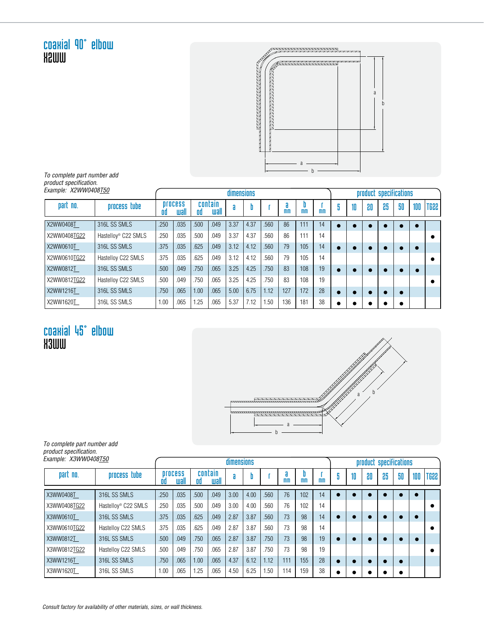coaxial 90° elbow X2WW



To complete part number add product specification. Example: X2WW0408T50

| Example: X2WW0408T50 |                                 |      |                        |      |                 | dimensions |      |      |     |                     |                |   |    |    | product specifications |    |     |      |
|----------------------|---------------------------------|------|------------------------|------|-----------------|------------|------|------|-----|---------------------|----------------|---|----|----|------------------------|----|-----|------|
| part no.             | process tube                    | ۵d   | <b>process</b><br>wall | ۵d   | contain<br>uall | a          |      |      | mm  | ш<br>m <sub>m</sub> | m <sub>m</sub> |   | 10 | 80 | 85                     | 50 | 100 | TG88 |
| X2WW0408T            | 316L SS SMLS                    | .250 | .035                   | .500 | .049            | 3.37       | 4.37 | .560 | 86  | 111                 | 14             |   |    |    |                        |    |     |      |
| X2WW0408TG22         | Hastellov <sup>®</sup> C22 SMLS | .250 | .035                   | .500 | .049            | 3.37       | 4.37 | .560 | 86  | 111                 | 14             |   |    |    |                        |    |     |      |
| X2WW0610T            | 316L SS SMLS                    | .375 | .035                   | .625 | .049            | 3.12       | 4.12 | .560 | 79  | 105                 | 14             | ۰ |    |    |                        |    |     |      |
| X2WW0610TG22         | Hastelloy C22 SMLS              | .375 | .035                   | .625 | .049            | 3.12       | 4.12 | .560 | 79  | 105                 | 14             |   |    |    |                        |    |     |      |
| X2WW0812T            | 316L SS SMLS                    | .500 | .049                   | .750 | .065            | 3.25       | 4.25 | .750 | 83  | 108                 | 19             | ۰ |    |    |                        |    |     |      |
| X2WW0812TG22         | Hastelloy C22 SMLS              | .500 | .049                   | .750 | .065            | 3.25       | 4.25 | .750 | 83  | 108                 | 19             |   |    |    |                        |    |     |      |
| X2WW1216T            | 316L SS SMLS                    | .750 | .065                   | 1.00 | 065             | 5.00       | 6.75 | 1.12 | 127 | 172                 | 28             | ۰ |    |    |                        |    |     |      |
| X2WW1620T            | 316L SS SMLS                    | 1.00 | .065                   | .25  | .065            | 5.37       | 7.12 | 1.50 | 136 | 181                 | 38             |   |    |    |                        |    |     |      |

#### coaxial 45° elbow **K3WW**



To complete part number add product specification.

| Example: X3WW0408T50 |                                 |      |                        |      |                 | dimensions |      |      |                     |                     |                |   |    | product specifications |    |    |     |      |
|----------------------|---------------------------------|------|------------------------|------|-----------------|------------|------|------|---------------------|---------------------|----------------|---|----|------------------------|----|----|-----|------|
| part no.             | process tube                    | 00   | <b>Drocess</b><br>wall | ۵đ   | contain<br>wall | a          |      |      | a<br>m <sub>m</sub> | ш<br>m <sub>m</sub> | m <sub>m</sub> | 5 | 10 | 80                     | 86 | 50 | 100 | TG22 |
| X3WW0408T            | 316L SS SMLS                    | .250 | .035                   | .500 | .049            | 3.00       | 4.00 | .560 | 76                  | 102                 | 14             |   |    |                        |    |    |     |      |
| X3WW0408TG22         | Hastellov <sup>®</sup> C22 SMLS | .250 | .035                   | .500 | .049            | 3.00       | 4.00 | .560 | 76                  | 102                 | 14             |   |    |                        |    |    |     |      |
| X3WW0610T            | 316L SS SMLS                    | .375 | .035                   | .625 | .049            | 2.87       | 3.87 | .560 | 73                  | 98                  | 14             | o | c  |                        |    |    |     |      |
| X3WW0610TG22         | Hastelloy C22 SMLS              | .375 | .035                   | .625 | .049            | 2.87       | 3.87 | .560 | 73                  | 98                  | 14             |   |    |                        |    |    |     |      |
| X3WW0812T            | 316L SS SMLS                    | .500 | .049                   | .750 | .065            | 2.87       | 3.87 | .750 | 73                  | 98                  | 19             | œ | œ  |                        |    |    |     |      |
| X3WW0812TG22         | Hastelloy C22 SMLS              | .500 | .049                   | 750  | .065            | 2.87       | 3.87 | .750 | 73                  | 98                  | 19             |   |    |                        |    |    |     |      |
| X3WW1216T            | 316L SS SMLS                    | .750 | .065                   | 1.00 | .065            | 4.37       | 6.12 | 1.12 | 111                 | 155                 | 28             | ۰ | ۰  |                        |    |    |     |      |
| X3WW1620T            | 316L SS SMLS                    | 1.00 | .065                   | 1.25 | .065            | 4.50       | 6.25 | 1.50 | 114                 | 159                 | 38             |   |    |                        |    |    |     |      |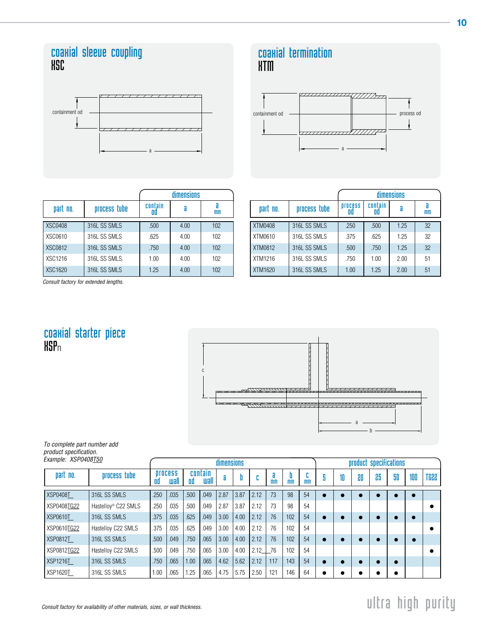#### coaxial sleeve coupling XSC



|     | <b>coaxial termination</b> |
|-----|----------------------------|
| KTM |                            |



|                |               |               | dimensions |     |
|----------------|---------------|---------------|------------|-----|
| part no.       | process tube  | contain<br>OQ |            | mm  |
| <b>XSC0408</b> | 316L SS SMLS  | .500          | 4.00       | 102 |
| XSC0610        | 316L SS SMLS  | .625          | 4.00       | 102 |
| <b>XSC0812</b> | 316L SS SMLS  | .750          | 4.00       | 102 |
| XSC1216        | 316L SS SMLS. | 1.00          | 4.00       | 102 |
| XSC1620        | 316L SS SMLS  | 1.25          | 4.00       | 102 |

|          |              | dimensions     |               |      |    |  |  |  |  |  |  |  |  |
|----------|--------------|----------------|---------------|------|----|--|--|--|--|--|--|--|--|
| part no. | process tube | <b>Drocess</b> | contain<br>ΩQ |      | mm |  |  |  |  |  |  |  |  |
| XTM0408  | 316L SS SMLS | .250           | .500          | 1.25 | 32 |  |  |  |  |  |  |  |  |
| XTM0610  | 316L SS SMLS | .375           | .625          | 1.25 | 32 |  |  |  |  |  |  |  |  |
| XTM0812  | 316L SS SMLS | .500           | .750          | 1.25 | 32 |  |  |  |  |  |  |  |  |
| XTM1216  | 316L SS SMLS | .750           | 1.00          | 2.00 | 51 |  |  |  |  |  |  |  |  |
| XTM1620  | 316L SS SMLS | 1.00           | 1.25          | 2.00 | 51 |  |  |  |  |  |  |  |  |

Consult factory for extended lengths.

#### coaxial starter piece **HSP**n



To complete part number add product specification.

| Example: XSP0408T50 |                                 |                              |      |                       |      | <b>dimensions</b> |      | product specifications |         |                     |                     |   |    |    |    |    |     |             |
|---------------------|---------------------------------|------------------------------|------|-----------------------|------|-------------------|------|------------------------|---------|---------------------|---------------------|---|----|----|----|----|-----|-------------|
| part no.            | process tube                    | <b>Drocess</b><br>wall<br>OO |      | contain<br>uall<br>۵d |      | a                 |      | n                      | a<br>mm | D<br>m <sub>m</sub> | ы<br>m <sub>m</sub> | 5 | 10 | 80 | 85 | 50 | 100 | <b>SSOT</b> |
| XSP0408T            | 316L SS SMLS                    | .250                         | .035 | .500                  | .049 | 2.87              | 3.87 | 2.12                   | 73      | 98                  | 54                  |   |    |    |    |    |     |             |
| XSP0408TG22         | Hastelloy <sup>®</sup> C22 SMLS | .250                         | .035 | .500                  | .049 | 2.87              | 3.87 | 2.12                   | 73      | 98                  | 54                  |   |    |    |    |    |     |             |
| <b>XSP0610T</b>     | 316L SS SMLS                    | .375                         | .035 | .625                  | .049 | 3.00              | 4.00 | 2.12                   | 76      | 102                 | 54                  |   |    | ۰  |    |    |     |             |
| XSP0610TG22         | Hastelloy C22 SMLS              | .375                         | .035 | .625                  | .049 | 3.00              | 4.00 | 2.12                   | 76      | 102                 | 54                  |   |    |    |    |    |     |             |
| <b>XSP0812T</b>     | 316L SS SMLS                    | .500                         | .049 | .750                  | .065 | 3.00              | 4.00 | 2.12                   | 76      | 102                 | 54                  |   |    | œ  |    |    |     |             |
| XSP0812TG22         | Hastelloy C22 SMLS              | .500                         | .049 | .750                  | .065 | 3.00              | 4.00 | 2.12                   | 76      | 102                 | 54                  |   |    |    |    |    |     |             |
| <b>XSP1216T</b>     | 316L SS SMLS                    | .750                         | .065 | 1.00                  | .065 | 4.62              | 5.62 | 2.12                   | 117     | 143                 | 54                  |   |    | ۰  |    |    |     |             |
| XSP1620T            | 316L SS SMLS                    | 1.00                         | .065 | 1.25                  | .065 | 4.75              | 5.75 | 2.50                   | 121     | 146                 | 64                  |   |    |    |    | ۰  |     |             |

#### 10

## $\Box$  Consult factory for availability of other materials, sizes, or wall thickness.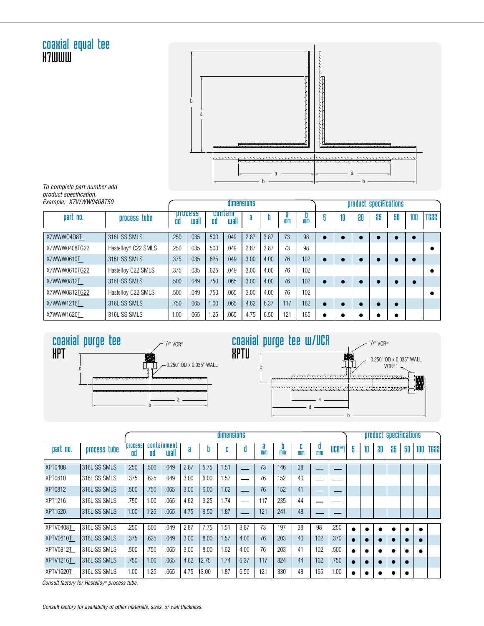#### coaxial equal tee b a ,,,,,,,,,,,,,, . . . . . . . . . . .  $\cdots$ ,,,,,,,,,,, a a b b

To complete part number add product specification.

**X7WWW** 

| Example: X7WWW0408T50 |                                 |      |                        |      | dimensions            |      | product specifications |                      |                |  |    |    |    |    |     |             |
|-----------------------|---------------------------------|------|------------------------|------|-----------------------|------|------------------------|----------------------|----------------|--|----|----|----|----|-----|-------------|
| part no.              | process tube                    | 00   | <b>DIDCESS</b><br>wall |      | contain<br>uall<br>۵d |      | П                      | ä.<br>m <sub>m</sub> | m <sub>m</sub> |  | 10 | 80 | 86 | 50 | 100 | <b>TG22</b> |
| X7WWW0408T            | 316L SS SMLS                    | .250 | .035                   | .500 | .049                  | 2.87 | 3.87                   | 73                   | 98             |  |    |    |    |    |     |             |
| X7WWW0408TG22         | Hastellov <sup>®</sup> C22 SMLS | .250 | .035                   | .500 | .049                  | 2.87 | 3.87                   | 73                   | 98             |  |    |    |    |    |     |             |
| X7WWW0610T            | 316L SS SMLS                    | .375 | .035                   | .625 | .049                  | 3.00 | 4.00                   | 76                   | 102            |  |    |    |    |    |     |             |
| X7WWW0610TG22         | Hastelloy C22 SMLS              | .375 | .035                   | .625 | .049                  | 3.00 | 4.00                   | 76                   | 102            |  |    |    |    |    |     |             |
| X7WWW0812T            | 316L SS SMLS                    | .500 | .049                   | .750 | .065                  | 3.00 | 4.00                   | 76                   | 102            |  |    |    |    |    |     |             |
| X7WWW0812TG22         | Hastelloy C22 SMLS              | .500 | .049                   | .750 | .065                  | 3.00 | 4.00                   | 76                   | 102            |  |    |    |    |    |     |             |
| X7WWW1216T            | 316L SS SMLS                    | .750 | .065                   | 1.00 | .065                  | 4.62 | 6.37                   | 117                  | 162            |  |    |    |    | 0  |     |             |
| X7WWW1620T            | 316L SS SMLS                    | 1.00 | .065                   | .25  | .065                  | 4.75 | 6.50                   | 121                  | 165            |  |    |    |    |    |     |             |





|                  |                      |                      | <b>dimensions</b> |                     |      |       |        |      |                     |                |                      |                |       |   |    | product specifications |    |    |     |      |  |  |  |  |
|------------------|----------------------|----------------------|-------------------|---------------------|------|-------|--------|------|---------------------|----------------|----------------------|----------------|-------|---|----|------------------------|----|----|-----|------|--|--|--|--|
| part no.         | process tube         | <b>Drocess</b><br>۵d | ۵d                | containment<br>uall | a    |       | n<br>ы | 0    | a<br>m <sub>m</sub> | m <sub>m</sub> | ь.<br>m <sub>m</sub> | m <sub>m</sub> | UCR®1 | 5 | 10 | 80                     | 85 | 50 | 100 | T688 |  |  |  |  |
| <b>XPT0408</b>   | 316L SS SMLS         | .250                 | .500              | .049                | 2.87 | 5.75  | .51    |      | 73                  | 146            | 38                   |                |       |   |    |                        |    |    |     |      |  |  |  |  |
| XPT0610          | 316L SS SMLS         | .375                 | .625              | .049                | 3.00 | 6.00  | .57    |      | 76                  | 152            | 40                   |                |       |   |    |                        |    |    |     |      |  |  |  |  |
| <b>XPT0812</b>   | 316L SS SMLS         | .500                 | .750              | .065                | 3.00 | 6.00  | 1.62   |      | 76                  | 152            | 41                   |                |       |   |    |                        |    |    |     |      |  |  |  |  |
| <b>XPT1216</b>   | 316L SS SMLS         | .750                 | 1.00              | .065                | 4.62 | 9.25  | 1.74   |      | 117                 | 235            | 44                   |                |       |   |    |                        |    |    |     |      |  |  |  |  |
| <b>XPT1620</b>   | <b>1316L SS SMLS</b> | 1.00                 | 1.25              | .065                | 4.75 | 9.50  | 1.87   |      | 121                 | 241            | 48                   |                |       |   |    |                        |    |    |     |      |  |  |  |  |
| XPTV0408T        | 316L SS SMLS         | .250                 | .500              | .049                | 2.87 | 7.75  | .51    | 3.87 | 73                  | 197            | 38                   | 98             | .250  |   |    |                        |    |    |     |      |  |  |  |  |
| <b>XPTV0610T</b> | 316L SS SMLS         | .375                 | .625              | .049                | 3.00 | 8.00  | 1.57   | 4.00 | 76                  | 203            | 40                   | 102            | .370  |   |    |                        |    |    |     |      |  |  |  |  |
| XPTV0812T        | 316L SS SMLS         | .500                 | .750              | .065                | 3.00 | 8.00  | 1.62   | 4.00 | 76                  | 203            | 41                   | 102            | .500  |   |    |                        |    |    |     |      |  |  |  |  |
| <b>XPTV1216T</b> | 316L SS SMLS         | .750                 | 1.00              | .065                | 4.62 | 12.75 | 1.74   | 6.37 | 117                 | 324            | 44                   | 162            | .750  |   |    |                        |    |    |     |      |  |  |  |  |
| XPTV1620T        | 316L SS SMLS         | 1.00                 | 1.25              | .065                | 4.75 | 13.00 | 1.87   | 6.50 | 121                 | 330            | 48                   | 165            | 0.001 |   |    |                        |    |    |     |      |  |  |  |  |

Consult factory for Hastelloy® process tube.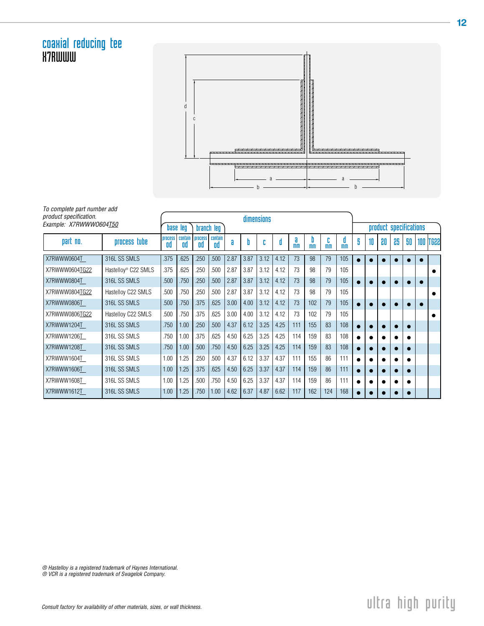#### coaxial reducing tee **X7RWWW**



To complete part number add product specification.

ſ

| product specification. |                                 | dimensions           |               |                      |               |      |      |      |      |                     |                     |                |                        |   |    |           |    |    |  |                 |  |
|------------------------|---------------------------------|----------------------|---------------|----------------------|---------------|------|------|------|------|---------------------|---------------------|----------------|------------------------|---|----|-----------|----|----|--|-----------------|--|
| Example: X7RWWW0604T50 |                                 | base leg             |               |                      | branch leg    |      |      |      |      |                     |                     |                | product specifications |   |    |           |    |    |  |                 |  |
| part no.               | process tube                    | <b>Drocess</b><br>0d | contain<br>0d | <b>Drocess</b><br>۵d | contain<br>۵d | a    |      |      | 0    | a<br>m <sub>m</sub> | D<br>m <sub>m</sub> | m <sub>m</sub> | 0<br>m <sub>m</sub>    | 5 | 10 | 80        | 25 | 50 |  | <b>100 TG22</b> |  |
| X7RWWW0604T            | 316L SS SMLS                    | .375                 | .625          | .250                 | .500          | 2.87 | 3.87 | 3.12 | 4.12 | 73                  | 98                  | 79             | 105                    |   |    | $\bullet$ |    |    |  |                 |  |
| X7RWWW0604TG22         | Hastelloy <sup>®</sup> C22 SMLS | .375                 | .625          | .250                 | .500          | 2.87 | 3.87 | 3.12 | 4.12 | 73                  | 98                  | 79             | 105                    |   |    |           |    |    |  |                 |  |
| X7RWWW0804T            | 316L SS SMLS                    | 500                  | .750          | .250                 | .500          | 2.87 | 3.87 | 3.12 | 4.12 | 73                  | 98                  | 79             | 105                    |   |    |           |    |    |  |                 |  |
| X7RWWW0804TG22         | Hastelloy C22 SMLS              | 500                  | .750          | .250                 | .500          | 2.87 | 3.87 | 3.12 | 4.12 | 73                  | 98                  | 79             | 105                    |   |    |           |    |    |  |                 |  |
| X7RWWW0806T            | 316L SS SMLS                    | 500                  | .750          | .375                 | .625          | 3.00 | 4.00 | 3.12 | 4.12 | 73                  | 102                 | 79             | 105                    |   |    |           |    |    |  |                 |  |
| X7RWWW0806TG22         | Hastelloy C22 SMLS              | 500                  | .750          | .375                 | .625          | 3.00 | 4.00 | 3.12 | 4.12 | 73                  | 102                 | 79             | 105                    |   |    |           |    |    |  |                 |  |
| X7RWWW1204T            | 316L SS SMLS                    | .750                 | 1.00          | .250                 | .500          | 4.37 | 6.12 | 3.25 | 4.25 | 111                 | 155                 | 83             | 108                    |   |    |           |    |    |  |                 |  |
| X7RWWW1206T            | 316L SS SMLS                    | .750                 | 1.00          | .375                 | .625          | 4.50 | 6.25 | 3.25 | 4.25 | 114                 | 159                 | 83             | 108                    |   |    |           |    |    |  |                 |  |
| X7RWWW1208T            | 316L SS SMLS                    | .750                 | 1.00          | .500                 | .750          | 4.50 | 6.25 | 3.25 | 4.25 | 114                 | 159                 | 83             | 108                    |   |    |           |    |    |  |                 |  |
| X7RWWW1604T            | 316L SS SMLS                    | 1.00                 | 1.25          | .250                 | .500          | 4.37 | 6.12 | 3.37 | 4.37 | 111                 | 155                 | 86             | 111                    |   |    |           |    |    |  |                 |  |
| X7RWWW1606T            | 316L SS SMLS                    | 1.00                 | 1.25          | .375                 | .625          | 4.50 | 6.25 | 3.37 | 4.37 | 114                 | 159                 | 86             | 111                    |   |    |           |    |    |  |                 |  |
| X7RWWW1608T            | 316L SS SMLS                    | 1.00                 | 1.25          | 500                  | .750          | 4.50 | 6.25 | 3.37 | 4.37 | 114                 | 159                 | 86             | 111                    |   |    |           |    |    |  |                 |  |
| X7RWWW1612T            | 316L SS SMLS                    | 1.00                 | 1.25          | .750                 | 1.00          | 4.62 | 6.37 | 4.87 | 6.62 | 117                 | 162                 | 124            | 168                    |   |    |           |    |    |  |                 |  |

® Hastelloy is a registered trademark of Haynes International.

® VCR is a registered trademark of Swagelok Company.

### $\Box$  Consult factory for availability of other materials, sizes, or wall thickness.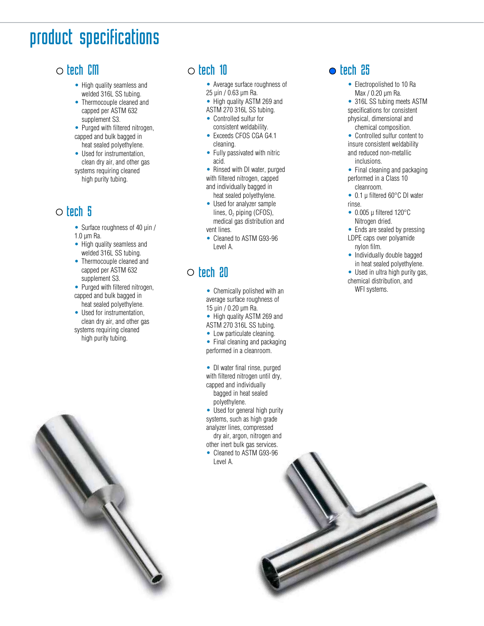# product specifications

#### $\circ$  tech CM

- High quality seamless and welded 316L SS tubing.
- Thermocouple cleaned and capped per ASTM 632 supplement S3.
- Purged with filtered nitrogen, capped and bulk bagged in heat sealed polyethylene.
- Used for instrumentation, clean dry air, and other gas systems requiring cleaned high purity tubing.

#### $\circ$  tech 5

- Surface roughness of 40 uin / 1.0 µm Ra.
- High quality seamless and welded 316L SS tubing.
- Thermocouple cleaned and capped per ASTM 632 supplement S3.
- Purged with filtered nitrogen, capped and bulk bagged in heat sealed polyethylene.
- Used for instrumentation, clean dry air, and other gas systems requiring cleaned high purity tubing.



- Average surface roughness of 25 µin / 0.63 µm Ra.
- High quality ASTM 269 and
- ASTM 270 316L SS tubing.
- Controlled sulfur for consistent weldability.
- Exceeds CFOS CGA G4.1 cleaning.
- Fully passivated with nitric acid.

• Rinsed with DI water, purged with filtered nitrogen, capped and individually bagged in heat sealed polyethylene.

- Used for analyzer sample
- lines,  $0<sub>2</sub>$  piping (CFOS), medical gas distribution and vent lines.
- Cleaned to ASTM G93-96 Level A.

#### $\circ$  tech 20

- Chemically polished with an average surface roughness of 15 µin / 0.20 µm Ra.
- High quality ASTM 269 and
- ASTM 270 316L SS tubing.
- Low particulate cleaning. Final cleaning and packaging
- performed in a cleanroom. DI water final rinse, purged

with filtered nitrogen until dry, capped and individually bagged in heat sealed polyethylene.

• Used for general high purity systems, such as high grade analyzer lines, compressed dry air, argon, nitrogen and other inert bulk gas services.

• Cleaned to ASTM G93-96 Level A.

#### $\bullet$  tech  $25$

- Electropolished to 10 Ra Max / 0.20 µm Ra.
- 316L SS tubing meets ASTM specifications for consistent physical, dimensional and chemical composition.
- Controlled sulfur content to insure consistent weldability and reduced non-metallic inclusions.
- Final cleaning and packaging performed in a Class 10 cleanroom.
- 0.1 µ filtered 60°C DI water rinse.
- $\bullet$  0.005 µ filtered 120 $^{\circ}$ C Nitrogen dried.
- Ends are sealed by pressing LDPE caps over polyamide
- nylon film. • Individually double bagged in heat sealed polyethylene.
- Used in ultra high purity gas, chemical distribution, and

WFI systems.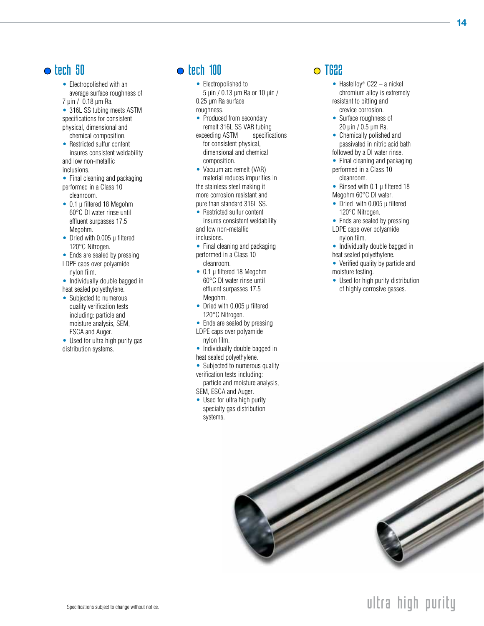#### $\bullet$  tech 50

• Electropolished with an average surface roughness of

7 µin / 0.18 µm Ra.

- 316L SS tubing meets ASTM specifications for consistent physical, dimensional and chemical composition.
- Restricted sulfur content insures consistent weldability and low non-metallic inclusions.
- Final cleaning and packaging performed in a Class 10 cleanroom.
- 0.1 µ filtered 18 Megohm 60°C DI water rinse until effluent surpasses 17.5 Megohm.
- Dried with 0.005 µ filtered 120°C Nitrogen.
- Ends are sealed by pressing
- LDPE caps over polyamide nylon film.
- Individually double bagged in heat sealed polyethylene.
- Subjected to numerous quality verification tests including: particle and moisture analysis, SEM, ESCA and Auger.
- Used for ultra high purity gas distribution systems.

#### $\bullet$  tech 100

- Electropolished to
- 5 µin / 0.13 µm Ra or 10 µin / 0.25 µm Ra surface roughness.
- Produced from secondary remelt 316L SS VAR tubing
- exceeding ASTM specifications for consistent physical, dimensional and chemical composition.
- Vacuum arc remelt (VAR) material reduces impurities in the stainless steel making it more corrosion resistant and pure than standard 316L SS.
- Restricted sulfur content insures consistent weldability and low non-metallic inclusions.
- Final cleaning and packaging performed in a Class 10 cleanroom.
- 0.1 µ filtered 18 Megohm 60°C DI water rinse until effluent surpasses 17.5 Megohm.
- Dried with 0.005 µ filtered 120°C Nitrogen.
- Ends are sealed by pressing LDPE caps over polyamide
- nylon film.
- Individually double bagged in heat sealed polyethylene.
- Subjected to numerous quality verification tests including:
- particle and moisture analysis, SEM, ESCA and Auger.
- Used for ultra high purity specialty gas distribution systems.

#### $\Omega$  TG22

- Hastelloy<sup>®</sup>  $C22 a$  nickel chromium alloy is extremely resistant to pitting and crevice corrosion.
- Surface roughness of 20 µin / 0.5 µm Ra.
- Chemically polished and passivated in nitric acid bath followed by a DI water rinse.
- Final cleaning and packaging performed in a Class 10 cleanroom.
- Rinsed with 0.1  $\mu$  filtered 18 Megohm 60°C DI water.
- Dried with 0.005 µ filtered 120°C Nitrogen.
- Ends are sealed by pressing LDPE caps over polyamide nylon film.
- Individually double bagged in heat sealed polyethylene.
- Verified quality by particle and moisture testing.
- Used for high purity distribution of highly corrosive gasses.



## ultra high purity